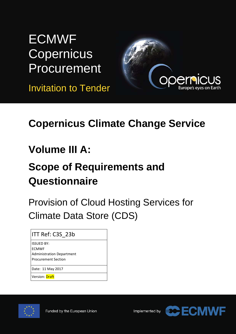# **ECMWF Copernicus Procurement**

Invitation to Tender



## **Copernicus Climate Change Service**

## **Volume III A:**

# **Scope of Requirements and Questionnaire**

Provision of Cloud Hosting Services for Climate Data Store (CDS)

ITT Ref: C3S\_23b

ISSUED BY: ECMWF Administration Department Procurement Section

Date: 11 May 2017

Version: Draft



Implemented by

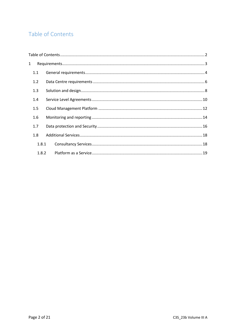## <span id="page-1-0"></span>Table of Contents

| $\mathbf{1}$ |       |  |  |  |  |  |
|--------------|-------|--|--|--|--|--|
|              | 1.1   |  |  |  |  |  |
|              | 1.2   |  |  |  |  |  |
|              | 1.3   |  |  |  |  |  |
|              | 1.4   |  |  |  |  |  |
|              | 1.5   |  |  |  |  |  |
|              | 1.6   |  |  |  |  |  |
|              | 1.7   |  |  |  |  |  |
|              | 1.8   |  |  |  |  |  |
|              | 1.8.1 |  |  |  |  |  |
|              | 1.8.2 |  |  |  |  |  |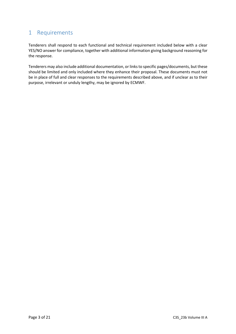## <span id="page-2-0"></span>1 Requirements

Tenderers shall respond to each functional and technical requirement included below with a clear YES/NO answer for compliance, together with additional information giving background reasoning for the response.

Tenderers may also include additional documentation, or links to specific pages/documents, but these should be limited and only included where they enhance their proposal. These documents must not be in place of full and clear responses to the requirements described above, and if unclear as to their purpose, irrelevant or unduly lengthy, may be ignored by ECMWF.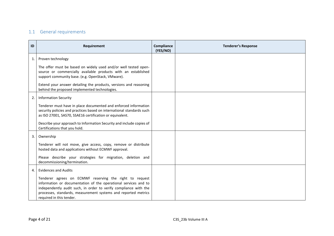### 1.1 General requirements

<span id="page-3-0"></span>

| ID             | Requirement                                                                                                                                                                                                                                                                                  | Compliance<br>(YES/NO) | <b>Tenderer's Response</b> |
|----------------|----------------------------------------------------------------------------------------------------------------------------------------------------------------------------------------------------------------------------------------------------------------------------------------------|------------------------|----------------------------|
| $\mathbf{1}$   | Proven technology                                                                                                                                                                                                                                                                            |                        |                            |
|                | The offer must be based on widely used and/or well tested open-<br>source or commercially available products with an established<br>support community base. (e.g. OpenStack, VMware).                                                                                                        |                        |                            |
|                | Extend your answer detailing the products, versions and reasoning<br>behind the proposed implemented technologies.                                                                                                                                                                           |                        |                            |
| 2.             | <b>Information Security</b>                                                                                                                                                                                                                                                                  |                        |                            |
|                | Tenderer must have in place documented and enforced information<br>security policies and practices based on international standards such<br>as ISO 27001, SAS70, SSAE16 certification or equivalent.                                                                                         |                        |                            |
|                | Describe your approach to Information Security and include copies of<br>Certifications that you hold.                                                                                                                                                                                        |                        |                            |
| 3.             | Ownership                                                                                                                                                                                                                                                                                    |                        |                            |
|                | Tenderer will not move, give access, copy, remove or distribute<br>hosted data and applications without ECMWF approval.                                                                                                                                                                      |                        |                            |
|                | Please describe your strategies for migration, deletion and<br>decommissioning/termination.                                                                                                                                                                                                  |                        |                            |
| $\overline{4}$ | <b>Evidences and Audits</b>                                                                                                                                                                                                                                                                  |                        |                            |
|                | Tenderer agrees on ECMWF reserving the right to request<br>information or documentation of the operational services and to<br>independently audit such, in order to verify compliance with the<br>processes, standards, measurement systems and reported metrics<br>required in this tender. |                        |                            |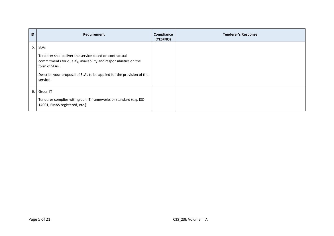| ID | Requirement                                                                                                                                                                                                                                       | Compliance<br>(YES/NO) | <b>Tenderer's Response</b> |
|----|---------------------------------------------------------------------------------------------------------------------------------------------------------------------------------------------------------------------------------------------------|------------------------|----------------------------|
| 5. | <b>SLAs</b><br>Tenderer shall deliver the service based on contractual<br>commitments for quality, availability and responsibilities on the<br>form of SLAs.<br>Describe your proposal of SLAs to be applied for the provision of the<br>service. |                        |                            |
| 6. | Green IT<br>Tenderer complies with green IT frameworks or standard (e.g. ISO<br>14001, EMAS registered, etc.).                                                                                                                                    |                        |                            |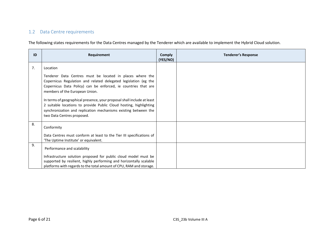### 1.2 Data Centre requirements

The following states requirements for the Data Centres managed by the Tenderer which are available to implement the Hybrid Cloud solution.

<span id="page-5-0"></span>

| ID | Requirement                                                                                                                                                                                                                                                                                                                                                                                                                                                                        | <b>Comply</b><br>(YES/NO) | <b>Tenderer's Response</b> |
|----|------------------------------------------------------------------------------------------------------------------------------------------------------------------------------------------------------------------------------------------------------------------------------------------------------------------------------------------------------------------------------------------------------------------------------------------------------------------------------------|---------------------------|----------------------------|
| 7. | Location                                                                                                                                                                                                                                                                                                                                                                                                                                                                           |                           |                            |
|    | Tenderer Data Centres must be located in places where the<br>Copernicus Regulation and related delegated legislation (eg the<br>Copernicus Data Policy) can be enforced, ie countries that are<br>members of the European Union.<br>In terms of geographical presence, your proposal shall include at least<br>2 suitable locations to provide Public Cloud hosting, highlighting<br>synchronization and replication mechanisms existing between the<br>two Data Centres proposed. |                           |                            |
| 8. | Conformity<br>Data Centres must conform at least to the Tier III specifications of<br>'The Uptime Institute' or equivalent.                                                                                                                                                                                                                                                                                                                                                        |                           |                            |
| 9. | Performance and scalability<br>Infrastructure solution proposed for public cloud model must be<br>supported by resilient, highly performing and horizontally scalable<br>platforms with regards to the total amount of CPU, RAM and storage.                                                                                                                                                                                                                                       |                           |                            |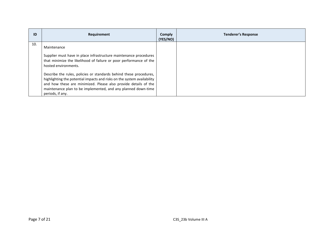| ID  | Requirement                                                                                                                                                                                                                                          | <b>Comply</b><br>(YES/NO) | <b>Tenderer's Response</b> |
|-----|------------------------------------------------------------------------------------------------------------------------------------------------------------------------------------------------------------------------------------------------------|---------------------------|----------------------------|
| 10. | Maintenance<br>Supplier must have in place infrastructure maintenance procedures<br>that minimize the likelihood of failure or poor performance of the<br>hosted environments.<br>Describe the rules, policies or standards behind these procedures, |                           |                            |
|     | highlighting the potential impacts and risks on the system availability<br>and how these are minimized. Please also provide details of the<br>maintenance plan to be implemented, and any planned down-time<br>periods, if any.                      |                           |                            |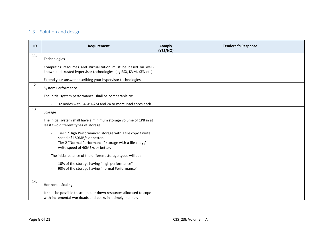## 1.3 Solution and design

<span id="page-7-0"></span>

| ID  | Requirement                                                                                                                                                                             | <b>Comply</b><br>(YES/NO) | <b>Tenderer's Response</b> |
|-----|-----------------------------------------------------------------------------------------------------------------------------------------------------------------------------------------|---------------------------|----------------------------|
| 11. | Technologies                                                                                                                                                                            |                           |                            |
|     | Computing resources and Virtualization must be based on well-<br>known and trusted hypervisor technologies. (eg ESX, KVM, XEN etc)                                                      |                           |                            |
|     | Extend your answer describing your hypervisor technologies.                                                                                                                             |                           |                            |
| 12. | <b>System Performance</b>                                                                                                                                                               |                           |                            |
|     | The initial system performance shall be comparable to:                                                                                                                                  |                           |                            |
|     | 32 nodes with 64GB RAM and 24 or more Intel cores each.                                                                                                                                 |                           |                            |
| 13. | Storage                                                                                                                                                                                 |                           |                            |
|     | The initial system shall have a minimum storage volume of 1PB in at<br>least two different types of storage:                                                                            |                           |                            |
|     | Tier 1 "High Performance" storage with a file copy / write<br>speed of 150MB/s or better.<br>Tier 2 "Normal Performance" storage with a file copy /<br>write speed of 40MB/s or better. |                           |                            |
|     | The initial balance of the different storage types will be:<br>10% of the storage having "high performance"<br>90% of the storage having "normal Performance".                          |                           |                            |
| 14. | <b>Horizontal Scaling</b>                                                                                                                                                               |                           |                            |
|     | It shall be possible to scale up or down resources allocated to cope<br>with incremental workloads and peaks in a timely manner.                                                        |                           |                            |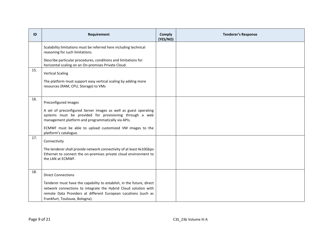| ID  | Requirement                                                                                                                                                                                                                                  | <b>Comply</b><br>(YES/NO) | <b>Tenderer's Response</b> |
|-----|----------------------------------------------------------------------------------------------------------------------------------------------------------------------------------------------------------------------------------------------|---------------------------|----------------------------|
|     | Scalability limitations must be referred here including technical<br>reasoning for such limitations.                                                                                                                                         |                           |                            |
|     | Describe particular procedures, conditions and limitations for<br>horizontal scaling on an On-premises Private Cloud.                                                                                                                        |                           |                            |
| 15. | <b>Vertical Scaling</b>                                                                                                                                                                                                                      |                           |                            |
|     | The platform must support easy vertical scaling by adding more<br>resources (RAM, CPU, Storage) to VMs                                                                                                                                       |                           |                            |
| 16. | Preconfigured Images                                                                                                                                                                                                                         |                           |                            |
|     | A set of preconfigured Server images as well as guest operating<br>systems must be provided for provisioning through a web<br>management platform and programmatically via APIs.                                                             |                           |                            |
|     | ECMWF must be able to upload customized VM images to the<br>platform's catalogue.                                                                                                                                                            |                           |                            |
| 17. | Connectivity                                                                                                                                                                                                                                 |                           |                            |
|     | The tenderer shall provide network connectivity of at least 4x10Gbps<br>Ethernet to connect the on-premises private cloud environment to<br>the LAN at ECMWF.                                                                                |                           |                            |
| 18. | <b>Direct Connections</b>                                                                                                                                                                                                                    |                           |                            |
|     | Tenderer must have the capability to establish, in the future, direct<br>network connections to integrate the Hybrid Cloud solution with<br>remote Data Providers at different European Locations (such as<br>Frankfurt, Toulouse, Bologna). |                           |                            |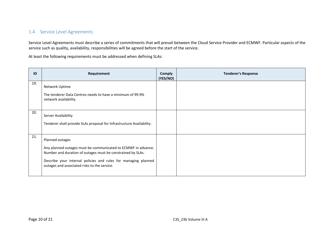#### 1.4 Service Level Agreements

Service Level Agreements must describe a series of commitments that will prevail between the Cloud Service Provider and ECMWF. Particular aspects of the service such as quality, availability, responsibilities will be agreed before the start of the service.

At least the following requirements must be addressed when defining SLAs:

<span id="page-9-0"></span>

| ID  | Requirement                                                                                                                  | <b>Comply</b><br>(YES/NO) | <b>Tenderer's Response</b> |
|-----|------------------------------------------------------------------------------------------------------------------------------|---------------------------|----------------------------|
| 19. | Network Uptime<br>The tenderer Data Centres needs to have a minimum of 99.9%                                                 |                           |                            |
|     | network availability.                                                                                                        |                           |                            |
| 20. | Server Availability                                                                                                          |                           |                            |
|     | Tenderer shall provide SLAs proposal for Infrastructure Availability.                                                        |                           |                            |
| 21. | Planned outages                                                                                                              |                           |                            |
|     | Any planned outages must be communicated to ECMWF in advance.<br>Number and duration of outages must be constrained by SLAs. |                           |                            |
|     | Describe your internal policies and rules for managing planned<br>outages and associated risks to the service.               |                           |                            |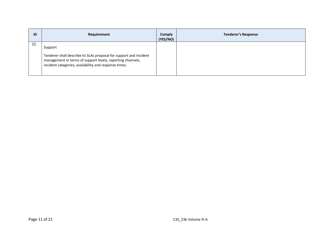| ID  | Requirement                                                                                                                                                                                          | <b>Comply</b><br>(YES/NO) | <b>Tenderer's Response</b> |
|-----|------------------------------------------------------------------------------------------------------------------------------------------------------------------------------------------------------|---------------------------|----------------------------|
| 22. | Support<br>Tenderer shall describe its SLAs proposal for support and incident<br>management in terms of support levels, reporting channels,<br>incident categories, availability and response times. |                           |                            |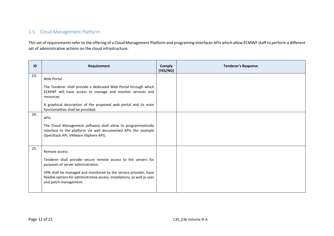#### 1.5 Cloud Management Platform

This set of requirements refer to the offering of a Cloud Management Platform and programing interfaces APIs which allow ECMWF staff to perform a different set of administrative actions on the cloud infrastructure.

<span id="page-11-0"></span>

| ID  | Requirement                                                                                                                                                                                                                                                                                      | Comply<br>(YES/NO) | <b>Tenderer's Response</b> |
|-----|--------------------------------------------------------------------------------------------------------------------------------------------------------------------------------------------------------------------------------------------------------------------------------------------------|--------------------|----------------------------|
| 23. | Web Portal                                                                                                                                                                                                                                                                                       |                    |                            |
|     | The Tenderer shall provide a dedicated Web Portal through which<br>ECMWF will have access to manage and monitor services and<br>resources.                                                                                                                                                       |                    |                            |
|     | A graphical description of the proposed web portal and its main<br>functionalities shall be provided.                                                                                                                                                                                            |                    |                            |
| 24. | APIS<br>The Cloud Management software shall allow to programmatically<br>interface to the platform via well documented APIs (for example<br>OpenStack API, VMware VSphere API).                                                                                                                  |                    |                            |
| 25. | Remote access<br>Tenderer shall provide secure remote access to the servers for<br>purposes of server administration.<br>VPN shall be managed and monitored by the service provider, have<br>flexible options for administrative access, installations, as well as user<br>and patch management. |                    |                            |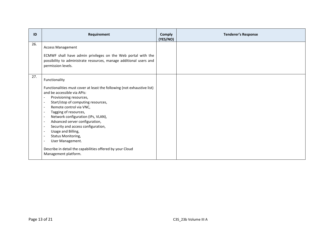| ID  | Requirement                                                                                                                                                                                                                                                                                                                                                                                                                                                                                                                                                                                                                                                       | <b>Comply</b><br>(YES/NO) | <b>Tenderer's Response</b> |
|-----|-------------------------------------------------------------------------------------------------------------------------------------------------------------------------------------------------------------------------------------------------------------------------------------------------------------------------------------------------------------------------------------------------------------------------------------------------------------------------------------------------------------------------------------------------------------------------------------------------------------------------------------------------------------------|---------------------------|----------------------------|
| 26. | <b>Access Management</b><br>ECMWF shall have admin privileges on the Web portal with the<br>possibility to administrate resources, manage additional users and<br>permission levels.                                                                                                                                                                                                                                                                                                                                                                                                                                                                              |                           |                            |
| 27. | Functionality<br>Functionalities must cover at least the following (not exhaustive list)<br>and be accessible via APIs:<br>Provisioning resources,<br>$\blacksquare$<br>Start/stop of computing resources,<br>$\blacksquare$<br>Remote control via VNC,<br>$\overline{\phantom{a}}$<br>Tagging of resources,<br>$\blacksquare$<br>Network configuration (IPs, VLAN),<br>$\sim$<br>Advanced server configuration,<br>$\blacksquare$<br>Security and access configuration,<br>$\blacksquare$<br>Usage and Billing,<br>Status Monitoring,<br>$\blacksquare$<br>User Management.<br>Describe in detail the capabilities offered by your Cloud<br>Management platform. |                           |                            |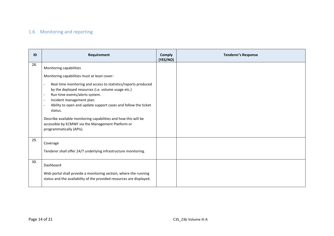### 1.6 Monitoring and reporting

<span id="page-13-0"></span>

| ID  | Requirement                                                                                                                                                                                                                                                                                                                                                                                                                                                                                                                                                                | <b>Comply</b><br>(YES/NO) | <b>Tenderer's Response</b> |
|-----|----------------------------------------------------------------------------------------------------------------------------------------------------------------------------------------------------------------------------------------------------------------------------------------------------------------------------------------------------------------------------------------------------------------------------------------------------------------------------------------------------------------------------------------------------------------------------|---------------------------|----------------------------|
| 28. | Monitoring capabilities<br>Monitoring capabilities must at least cover:<br>Real time monitoring and access to statistics/reports produced<br>by the deployed resources (i.e. volume usage etc.)<br>Run time events/alerts system.<br>$\blacksquare$<br>Incident management plan.<br>$\overline{\phantom{a}}$<br>Ability to open and update support cases and follow the ticket<br>$\overline{\phantom{a}}$<br>status.<br>Describe available monitoring capabilities and how this will be<br>accessible by ECMWF via the Management Platform or<br>programmatically (APIs). |                           |                            |
| 29. | Coverage<br>Tenderer shall offer 24/7 underlying infrastructure monitoring.                                                                                                                                                                                                                                                                                                                                                                                                                                                                                                |                           |                            |
| 30. | Dashboard<br>Web portal shall provide a monitoring section, where the running<br>status and the availability of the provided resources are displayed.                                                                                                                                                                                                                                                                                                                                                                                                                      |                           |                            |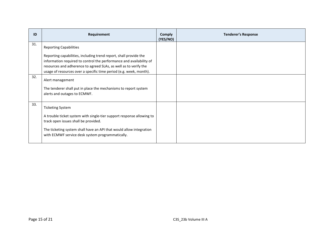| ID  | Requirement                                                                                                                                                                                                                                                                        | <b>Comply</b><br>(YES/NO) | <b>Tenderer's Response</b> |
|-----|------------------------------------------------------------------------------------------------------------------------------------------------------------------------------------------------------------------------------------------------------------------------------------|---------------------------|----------------------------|
| 31. | <b>Reporting Capabilities</b>                                                                                                                                                                                                                                                      |                           |                            |
|     | Reporting capabilities, including trend report, shall provide the<br>information required to control the performance and availability of<br>resources and adherence to agreed SLAs, as well as to verify the<br>usage of resources over a specific time period (e.g. week, month). |                           |                            |
| 32. | Alert management<br>The tenderer shall put in place the mechanisms to report system<br>alerts and outages to ECMWF.                                                                                                                                                                |                           |                            |
| 33. | <b>Ticketing System</b><br>A trouble ticket system with single-tier support response allowing to<br>track open issues shall be provided.<br>The ticketing system shall have an API that would allow integration<br>with ECMWF service desk system programmatically.                |                           |                            |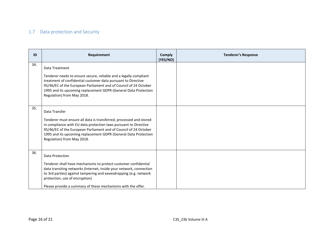### 1.7 Data protection and Security

<span id="page-15-0"></span>

| ID  | Requirement                                                                                                                                                                                                                                                                                                                      | <b>Comply</b><br>(YES/NO) | <b>Tenderer's Response</b> |
|-----|----------------------------------------------------------------------------------------------------------------------------------------------------------------------------------------------------------------------------------------------------------------------------------------------------------------------------------|---------------------------|----------------------------|
| 34. | Data Treatment<br>Tenderer needs to ensure secure, reliable and a legally compliant<br>treatment of confidential customer data pursuant to Directive<br>95/46/EC of the European Parliament and of Council of 24 October<br>1995 and its upcoming replacement GDPR (General Data Protection<br>Regulation) from May 2018.        |                           |                            |
| 35. | Data Transfer<br>Tenderer must ensure all data is transferred, processed and stored<br>in compliance with EU data protection laws pursuant to Directive<br>95/46/EC of the European Parliament and of Council of 24 October<br>1995 and its upcoming replacement GDPR (General Data Protection<br>Regulation) from May 2018.     |                           |                            |
| 36. | Data Protection<br>Tenderer shall have mechanisms to protect customer confidential<br>data transiting networks (Internet, inside your network, connection<br>to 3rd parties) against tampering and eavesdropping (e.g. network<br>protection, use of encryption)<br>Please provide a summary of these mechanisms with the offer. |                           |                            |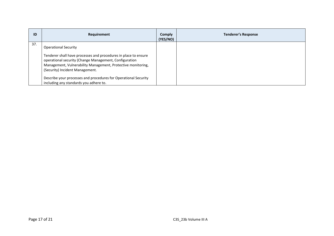| ID  | Requirement                                                                                                                                                                                                                                                                                                                                                              | <b>Comply</b><br>(YES/NO) | <b>Tenderer's Response</b> |
|-----|--------------------------------------------------------------------------------------------------------------------------------------------------------------------------------------------------------------------------------------------------------------------------------------------------------------------------------------------------------------------------|---------------------------|----------------------------|
| 37. | <b>Operational Security</b><br>Tenderer shall have processes and procedures in place to ensure<br>operational security (Change Management, Configuration<br>Management, Vulnerability Management, Protective monitoring,<br>(Security) Incident Management.<br>Describe your processes and procedures for Operational Security<br>including any standards you adhere to. |                           |                            |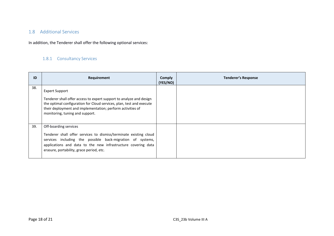#### 1.8 Additional Services

In addition, the Tenderer shall offer the following optional services:

#### 1.8.1 Consultancy Services

<span id="page-17-1"></span><span id="page-17-0"></span>

| ID  | Requirement                                                                                                                                                                                                                                                           | Comply<br>(YES/NO) | <b>Tenderer's Response</b> |
|-----|-----------------------------------------------------------------------------------------------------------------------------------------------------------------------------------------------------------------------------------------------------------------------|--------------------|----------------------------|
| 38. | <b>Expert Support</b><br>Tenderer shall offer access to expert support to analyze and design<br>the optimal configuration for Cloud services, plan, test and execute<br>their deployment and implementation; perform activities of<br>monitoring, tuning and support. |                    |                            |
| 39. | Off-boarding services<br>Tenderer shall offer services to dismiss/terminate existing cloud<br>services including the possible back-migration of systems,<br>applications and data to the new infrastructure covering data<br>erasure, portability, grace period, etc. |                    |                            |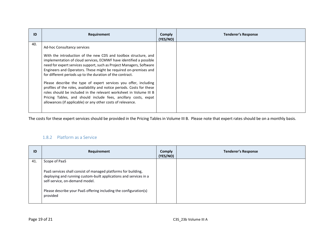| ID  | Requirement                                                                                                                                                                                                                                                                                                                                                                                                                                                                                                                                                                                                                                                                                                                          | Comply<br>(YES/NO) | <b>Tenderer's Response</b> |
|-----|--------------------------------------------------------------------------------------------------------------------------------------------------------------------------------------------------------------------------------------------------------------------------------------------------------------------------------------------------------------------------------------------------------------------------------------------------------------------------------------------------------------------------------------------------------------------------------------------------------------------------------------------------------------------------------------------------------------------------------------|--------------------|----------------------------|
| 40. | Ad-hoc Consultancy services<br>With the introduction of the new CDS and toolbox structure, and<br>implementation of cloud services, ECMWF have identified a possible<br>need for expert services support, such as Project Managers, Software<br>Engineers and Operators. These might be required on-premises and<br>for different periods up to the duration of the contract.<br>Please describe the type of expert services you offer, including<br>profiles of the roles, availability and notice periods. Costs for these<br>roles should be included in the relevant worksheet in Volume III B<br>Pricing Tables, and should include fees, ancillary costs, expat<br>allowances (if applicable) or any other costs of relevance. |                    |                            |

The costs for these expert services should be provided in the Pricing Tables in Volume III B. Please note that expert rates should be on a monthly basis.

#### 1.8.2 Platform as a Service

<span id="page-18-0"></span>

| ID  | Requirement                                                                                                                                                                                                                                            | <b>Comply</b><br>(YES/NO) | <b>Tenderer's Response</b> |
|-----|--------------------------------------------------------------------------------------------------------------------------------------------------------------------------------------------------------------------------------------------------------|---------------------------|----------------------------|
| 41. | Scope of PaaS                                                                                                                                                                                                                                          |                           |                            |
|     | PaaS services shall consist of managed platforms for building,<br>deploying and running custom-built applications and services in a<br>self-service, on-demand model.<br>Please describe your PaaS offering including the configuration(s)<br>provided |                           |                            |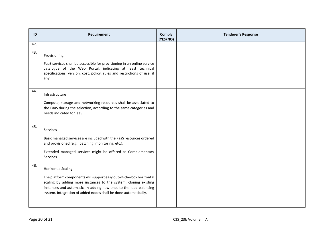| ID  | Requirement                                                                                                                                                                                                                                                                                                  | <b>Comply</b><br>(YES/NO) | <b>Tenderer's Response</b> |
|-----|--------------------------------------------------------------------------------------------------------------------------------------------------------------------------------------------------------------------------------------------------------------------------------------------------------------|---------------------------|----------------------------|
| 42. |                                                                                                                                                                                                                                                                                                              |                           |                            |
| 43. | Provisioning<br>PaaS services shall be accessible for provisioning in an online service<br>catalogue of the Web Portal, indicating at least technical<br>specifications, version, cost, policy, rules and restrictions of use, if<br>any.                                                                    |                           |                            |
| 44. | Infrastructure<br>Compute, storage and networking resources shall be associated to<br>the PaaS during the selection, according to the same categories and<br>needs indicated for laaS.                                                                                                                       |                           |                            |
| 45. | Services<br>Basic managed services are included with the PaaS resources ordered<br>and provisioned (e.g., patching, monitoring, etc.).<br>Extended managed services might be offered as Complementary<br>Services.                                                                                           |                           |                            |
| 46. | <b>Horizontal Scaling</b><br>The platform components will support easy out-of-the-box horizontal<br>scaling by adding more instances to the system, cloning existing<br>instances and automatically adding new ones to the load balancing<br>system. Integration of added nodes shall be done automatically. |                           |                            |